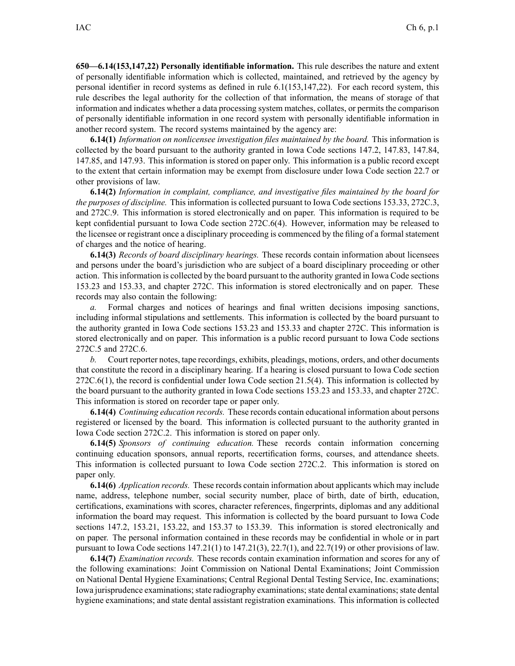**650—6.14(153,147,22) Personally identifiable information.** This rule describes the nature and extent of personally identifiable information which is collected, maintained, and retrieved by the agency by personal identifier in record systems as defined in rule 6.1(153,147,22). For each record system, this rule describes the legal authority for the collection of that information, the means of storage of that information and indicates whether <sup>a</sup> data processing system matches, collates, or permits the comparison of personally identifiable information in one record system with personally identifiable information in another record system. The record systems maintained by the agency are:

**6.14(1)** *Information on nonlicensee investigation files maintained by the board.* This information is collected by the board pursuan<sup>t</sup> to the authority granted in Iowa Code sections 147.2, 147.83, 147.84, 147.85, and 147.93. This information is stored on paper only. This information is <sup>a</sup> public record excep<sup>t</sup> to the extent that certain information may be exemp<sup>t</sup> from disclosure under Iowa Code section 22.7 or other provisions of law.

**6.14(2)** *Information in complaint, compliance, and investigative files maintained by the board for the purposes of discipline.* This information is collected pursuan<sup>t</sup> to Iowa Code sections 153.33, 272C.3, and 272C.9. This information is stored electronically and on paper. This information is required to be kept confidential pursuan<sup>t</sup> to Iowa Code section 272C.6(4). However, information may be released to the licensee or registrant once <sup>a</sup> disciplinary proceeding is commenced by the filing of <sup>a</sup> formal statement of charges and the notice of hearing.

**6.14(3)** *Records of board disciplinary hearings.* These records contain information about licensees and persons under the board's jurisdiction who are subject of <sup>a</sup> board disciplinary proceeding or other action. Thisinformation is collected by the board pursuan<sup>t</sup> to the authority granted in Iowa Code sections 153.23 and 153.33, and chapter 272C. This information is stored electronically and on paper. These records may also contain the following:

*a.* Formal charges and notices of hearings and final written decisions imposing sanctions, including informal stipulations and settlements. This information is collected by the board pursuan<sup>t</sup> to the authority granted in Iowa Code sections 153.23 and 153.33 and chapter 272C. This information is stored electronically and on paper. This information is <sup>a</sup> public record pursuan<sup>t</sup> to Iowa Code sections 272C.5 and 272C.6.

*b.* Court reporter notes, tape recordings, exhibits, pleadings, motions, orders, and other documents that constitute the record in <sup>a</sup> disciplinary hearing. If <sup>a</sup> hearing is closed pursuan<sup>t</sup> to Iowa Code section 272C.6(1), the record is confidential under Iowa Code section 21.5(4). This information is collected by the board pursuan<sup>t</sup> to the authority granted in Iowa Code sections 153.23 and 153.33, and chapter 272C. This information is stored on recorder tape or paper only.

**6.14(4)** *Continuing education records.* These records contain educational information about persons registered or licensed by the board. This information is collected pursuan<sup>t</sup> to the authority granted in Iowa Code section 272C.2. This information is stored on paper only.

**6.14(5)** *Sponsors of continuing education.* These records contain information concerning continuing education sponsors, annual reports, recertification forms, courses, and attendance sheets. This information is collected pursuan<sup>t</sup> to Iowa Code section 272C.2. This information is stored on paper only.

**6.14(6)** *Application records.* These records contain information about applicants which may include name, address, telephone number, social security number, place of birth, date of birth, education, certifications, examinations with scores, character references, fingerprints, diplomas and any additional information the board may request. This information is collected by the board pursuan<sup>t</sup> to Iowa Code sections 147.2, 153.21, 153.22, and 153.37 to 153.39. This information is stored electronically and on paper. The personal information contained in these records may be confidential in whole or in par<sup>t</sup> pursuant to Iowa Code sections  $147.21(1)$  to  $147.21(3)$ ,  $22.7(1)$ , and  $22.7(19)$  or other provisions of law.

**6.14(7)** *Examination records.* These records contain examination information and scores for any of the following examinations: Joint Commission on National Dental Examinations; Joint Commission on National Dental Hygiene Examinations; Central Regional Dental Testing Service, Inc. examinations; Iowa jurisprudence examinations; state radiography examinations; state dental examinations; state dental hygiene examinations; and state dental assistant registration examinations. This information is collected